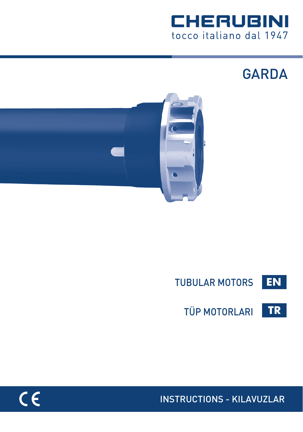

**GARDA** 





**TR** TÜP MOTORLARI

INSTRUCTIONS - KILAVUZLAR

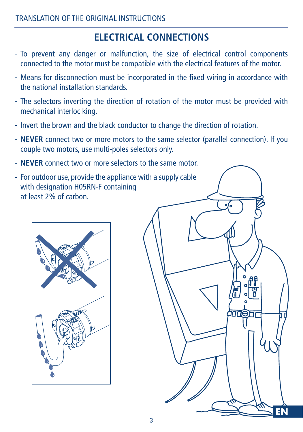## **ELECTRICAL CONNECTIONS**

- To prevent any danger or malfunction, the size of electrical control components connected to the motor must be compatible with the electrical features of the motor.
- Means for disconnection must be incorporated in the fixed wiring in accordance with the national installation standards.
- The selectors inverting the direction of rotation of the motor must be provided with mechanical interloc king.
- Invert the brown and the black conductor to change the direction of rotation.
- **NEVER** connect two or more motors to the same selector (parallel connection). If you couple two motors, use multi-poles selectors only.
- **NEVER** connect two or more selectors to the same motor.
- For outdoor use, provide the appliance with a supply cable with designation H05RN-F containing at least 2% of carbon.



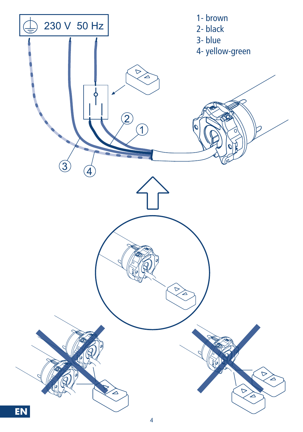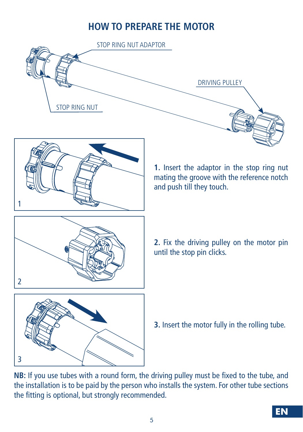## **HOW TO PREPARE THE MOTOR**





**2.** Fix the driving pulley on the motor pin until the stop pin clicks.

**3.** Insert the motor fully in the rolling tube.

**NB:** If you use tubes with a round form, the driving pulley must be fixed to the tube, and the installation is to be paid by the person who installs the system. For other tube sections the fitting is optional, but strongly recommended.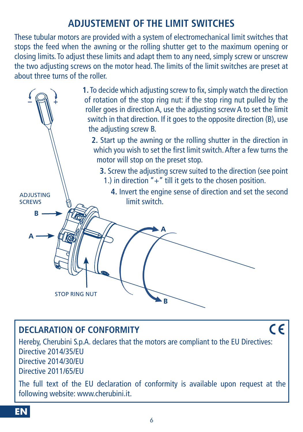## **ADJUSTEMENT OF THE LIMIT SWITCHES**

These tubular motors are provided with a system of electromechanical limit switches that stops the feed when the awning or the rolling shutter get to the maximum opening or closing limits. To adjust these limits and adapt them to any need, simply screw or unscrew the two adjusting screws on the motor head. The limits of the limit switches are preset at about three turns of the roller.



## **DECLARATION OF CONFORMITY**

Hereby, Cherubini S.p.A. declares that the motors are compliant to the EU Directives: Directive 2014/35/EU Directive 2014/30/EU Directive 2011/65/EU

 $\epsilon$ 

The full text of the EU declaration of conformity is available upon request at the following website: www.cherubini.it.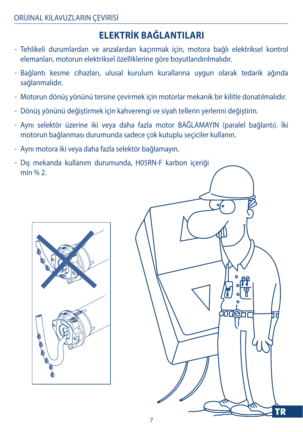# **ELEKTRİK BAĞLANTILARI**

- Tehlikeli durumlardan ve arızalardan kaçınmak için, motora bağlı elektriksel kontrol elemanları, motorun elektriksel özelliklerine göre boyutlandırılmalıdır.
- Bağlantı kesme cihazları, ulusal kurulum kurallarına uygun olarak tedarik ağında sağlanmalıdır.
- Motorun dönüş yönünü tersine çevirmek için motorlar mekanik bir kilitle donatılmalıdır.
- Dönüş yönünü değiştirmek için kahverengi ve siyah tellerin yerlerini değiştirin.
- Aynı selektör üzerine iki veya daha fazla motor BAĞLAMAYIN (paralel bağlantı). İki motorun bağlanması durumunda sadece çok kutuplu seçiciler kullanın.
- Aynı motora iki veya daha fazla selektör bağlamayın.
- Dış mekanda kullanım durumunda, H05RN-F karbon içeriği min % 2.



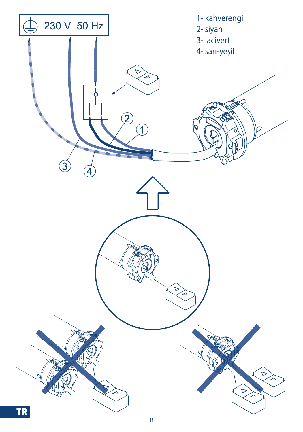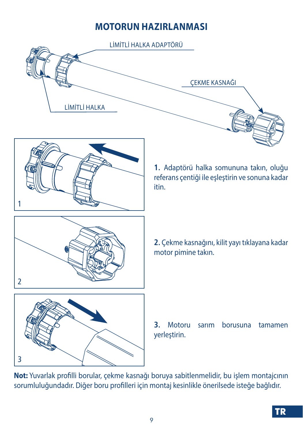## **MOTORUN HAZIRLANMASI**



**Not:** Yuvarlak profilli borular, çekme kasnağı boruya sabitlenmelidir, bu işlem montajcının sorumluluğundadır. Diğer boru profilleri için montaj kesinlikle önerilsede isteğe bağlıdır.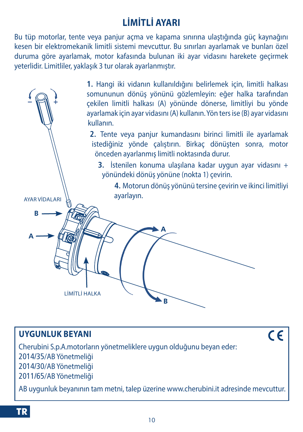# **LİMİTLİ AYARI**

Bu tüp motorlar, tente veya panjur açma ve kapama sınırına ulaştığında güç kaynağını kesen bir elektromekanik limitli sistemi mevcuttur. Bu sınırları ayarlamak ve bunları özel duruma göre ayarlamak, motor kafasında bulunan iki ayar vidasını harekete geçirmek yeterlidir. Limitliler, yaklaşık 3 tur olarak ayarlanmıştır.

**1.** Hangi iki vidanın kullanıldığını belirlemek için, limitli halkası somununun dönüş yönünü gözlemleyin: eğer halka tarafından çekilen limitli halkası (A) yönünde dönerse, limitliyi bu yönde ayarlamak için ayar vidasını (A) kullanın. Yön ters ise (B) ayar vidasını kullanın. **2.** Tente veya panjur kumandasını birinci limitli ile ayarlamak istediğiniz yönde çalıştırın. Birkaç dönüşten sonra, motor önceden ayarlanmış limitli noktasında durur. **3.** İstenilen konuma ulaşılana kadar uygun ayar vidasını + yönündeki dönüş yönüne (nokta 1) çevirin.  **4.** Motorun dönüş yönünü tersine çevirin ve ikinci limitliyi ayarlayın. AYAR VİDALARI **B A** LİMİTLİ HALKA Ŕ

### **UYGUNLUK BEYANI**

 $c\epsilon$ 

Cherubini S.p.A.motorların yönetmeliklere uygun olduğunu beyan eder: 2014/35/AB Yönetmeliği 2014/30/AB Yönetmeliği 2011/65/AB Yönetmeliği

AB uygunluk beyanının tam metni, talep üzerine www.cherubini.it adresinde mevcuttur.